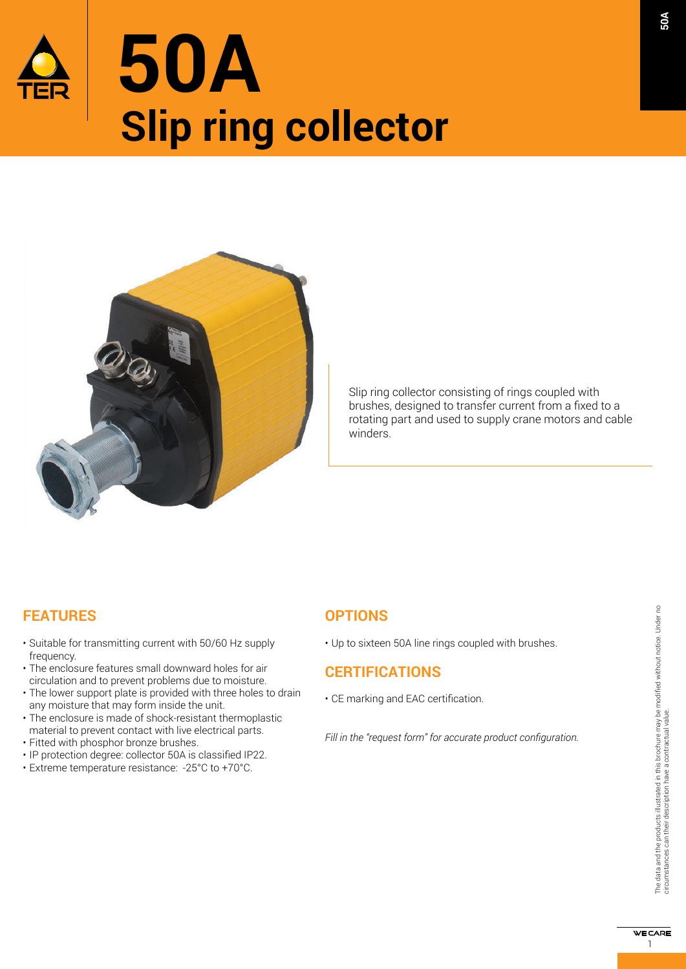



Slip ring collector consisting of rings coupled with brushes, designed to transfer current from a fixed to a rotating part and used to supply crane motors and cable winders. 

## **FEATURES**

- Suitable for transmitting current with 50/60 Hz supply frequency.
- The enclosure features small downward holes for air circulation and to prevent problems due to moisture.
- The lower support plate is provided with three holes to drain any moisture that may form inside the unit.
- The enclosure is made of shock-resistant thermoplastic material to prevent contact with live electrical parts.
- Fitted with phosphor bronze brushes.
- IP protection degree: collector 50A is classified IP22.
- Extreme temperature resistance: -25°C to +70°C.

### **OPTIONS**

• Up to sixteen 50A line rings coupled with brushes.

### **CERTIFICATIONS**

• CE marking and EAC certification.

*Fill in the "request form" for accurate product configuration.*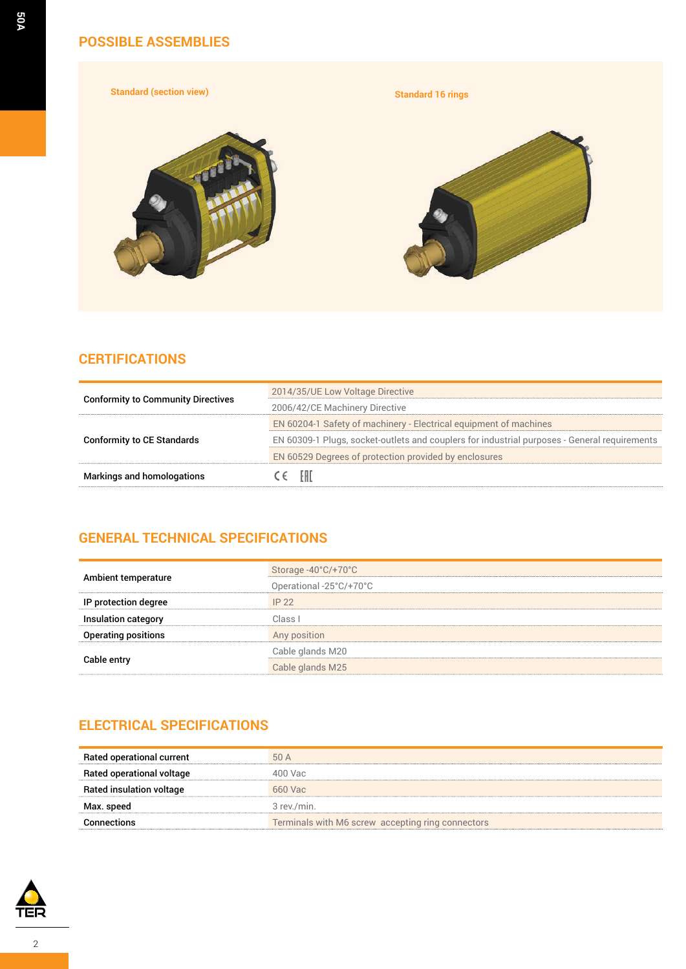### **POSSIBLE ASSEMBLIES**

**Standard (section view) Standard 16 rings**







## **CERTIFICATIONS**

|                                           | 2014/35/UE Low Voltage Directive                                                             |
|-------------------------------------------|----------------------------------------------------------------------------------------------|
| <b>Conformity to Community Directives</b> | 2006/42/CE Machinery Directive                                                               |
|                                           | EN 60204-1 Safety of machinery - Electrical equipment of machines                            |
| <b>Conformity to CE Standards</b>         | EN 60309-1 Plugs, socket-outlets and couplers for industrial purposes - General requirements |
|                                           | EN 60529 Degrees of protection provided by enclosures                                        |
| <b>Markings and homologations</b>         | - EHL                                                                                        |

### **GENERAL TECHNICAL SPECIFICATIONS**

| Ambient temperature        | Storage -40 $°C$ /+70 $°C$<br>Operational -25°C/+70°C |
|----------------------------|-------------------------------------------------------|
| IP protection degree       | IP22                                                  |
| Insulation category        | Class I                                               |
| <b>Operating positions</b> | Any position                                          |
|                            | Cable glands M20                                      |
| Cable entry                | Cable glands M25                                      |

## **ELECTRICAL SPECIFICATIONS**

| Rated operational current       | 50 A                                              |
|---------------------------------|---------------------------------------------------|
| Rated operational voltage       | 400 Vac                                           |
| <b>Rated insulation voltage</b> | 660 Vac                                           |
| Max. speed                      | 3 rev./min.                                       |
| <b>Connections</b>              | Terminals with M6 screw accepting ring connectors |

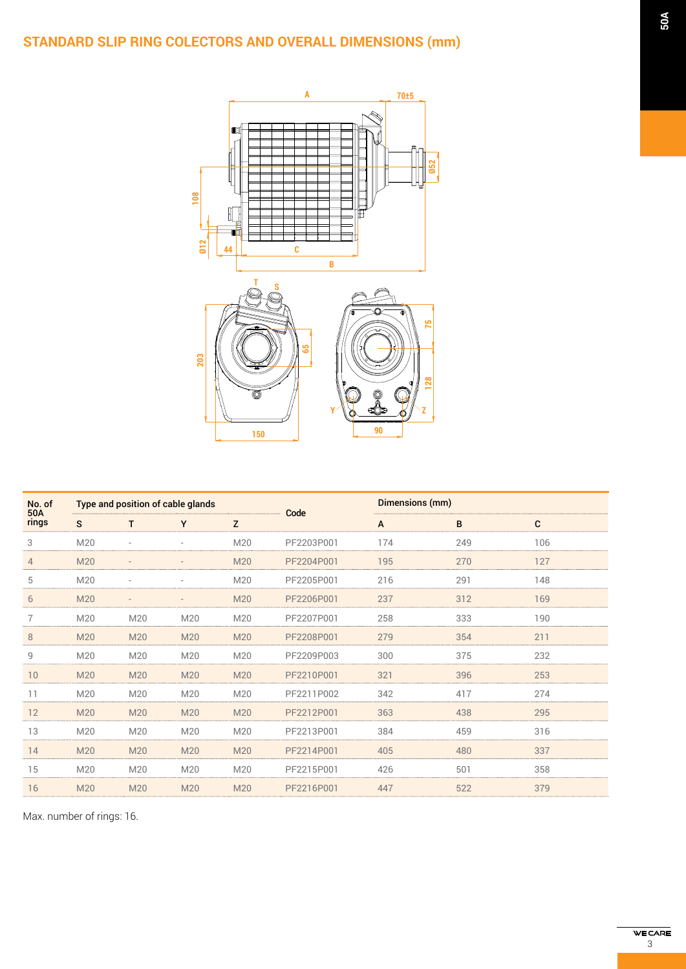# **STANDARD SLIP RING COLECTORS AND OVERALL DIMENSIONS (mm)**



| No. of<br>50A  | Type and position of cable glands |     |                          |     | Code       |     | Dimensions (mm) |     |  |
|----------------|-----------------------------------|-----|--------------------------|-----|------------|-----|-----------------|-----|--|
| rings          | S                                 | т   | Y                        | Z   |            | A   | B               | C   |  |
| 3              | M20                               |     | $\overline{\phantom{a}}$ | M20 | PF2203P001 | 174 | 249             | 106 |  |
| $\overline{4}$ | M20                               |     |                          | M20 | PF2204P001 | 195 | 270             | 127 |  |
| 5              | M20                               |     |                          | M20 | PF2205P001 | 216 | 291             | 148 |  |
| 6              | M20                               |     | $\qquad \qquad$          | M20 | PF2206P001 | 237 | 312             | 169 |  |
|                | M20                               | M20 | M20                      | M20 | PF2207P001 | 258 | 333             | 190 |  |
| 8              | M20                               | M20 | M20                      | M20 | PF2208P001 | 279 | 354             | 211 |  |
| 9              | M20                               | M20 | M20                      | M20 | PF2209P003 | 300 | 375             | 232 |  |
| 10             | M20                               | M20 | M20                      | M20 | PF2210P001 | 321 | 396             | 253 |  |
| 11             | M20                               | M20 | M20                      | M20 | PF2211P002 | 342 | 417             | 274 |  |
| 12             | M20                               | M20 | M20                      | M20 | PF2212P001 | 363 | 438             | 295 |  |
| 13             | M20                               | M20 | M20                      | M20 | PF2213P001 | 384 | 459             | 316 |  |
| 14             | M20                               | M20 | M20                      | M20 | PF2214P001 | 405 | 480             | 337 |  |
| 15             | M20                               | M20 | M20                      | M20 | PF2215P001 | 426 | 501             | 358 |  |
| 16             | M20                               | M20 | M20                      | M20 | PF2216P001 | 447 | 522             | 379 |  |

Max. number of rings: 16.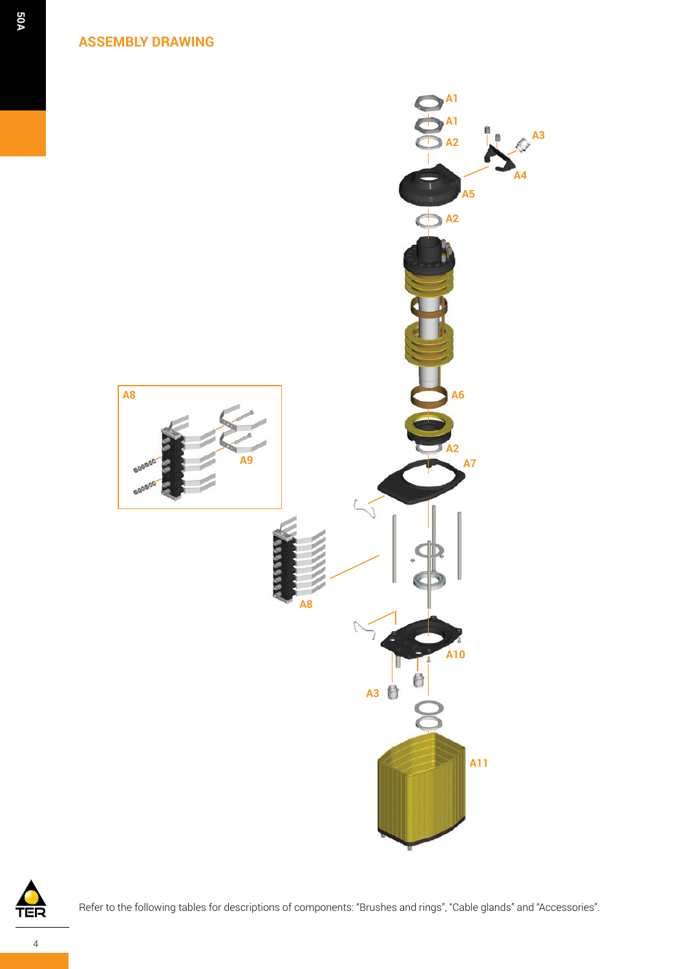**ASSEMBLY DRAWING**





Refer to the following tables for descriptions of components: "Brushes and rings", "Cable glands" and "Accessories".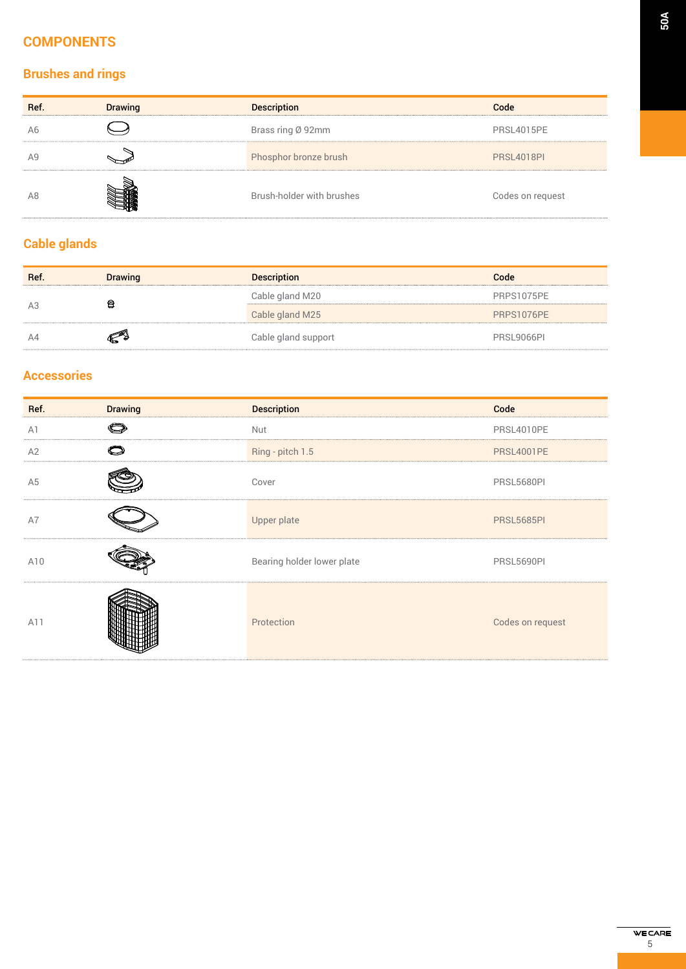## **COMPONENTS**

# **Brushes and rings**

| Ref. | <b>Drawing</b> | <b>Description</b>        | Code              |
|------|----------------|---------------------------|-------------------|
| Ab   |                | Brass ring Ø 92mm         | PRSL4015PE        |
|      |                | Phosphor bronze brush     | <b>PRSL4018PI</b> |
| A8   |                | Brush-holder with brushes | Codes on request  |

### **Cable glands**

| Ref. | <b>Drawing</b> | <b>Description</b>  | Code       |
|------|----------------|---------------------|------------|
| А3   | 0              | Cable gland M20     | PRPS1075PE |
|      |                | Cable gland M25     | PRPS1076PE |
|      |                | Cable gland support | PRSL9066PL |

### **Accessories**

| Ref.           | <b>Drawing</b> | <b>Description</b>         | Code              |
|----------------|----------------|----------------------------|-------------------|
| A1             | O              | Nut                        | PRSL4010PE        |
| A2             |                | Ring - pitch 1.5           | <b>PRSL4001PE</b> |
| A <sub>5</sub> |                | Cover                      | PRSL5680PI        |
| A7             |                | Upper plate                | <b>PRSL5685PI</b> |
| A10            |                | Bearing holder lower plate | PRSL5690PI        |
| A11            |                | Protection                 | Codes on request  |